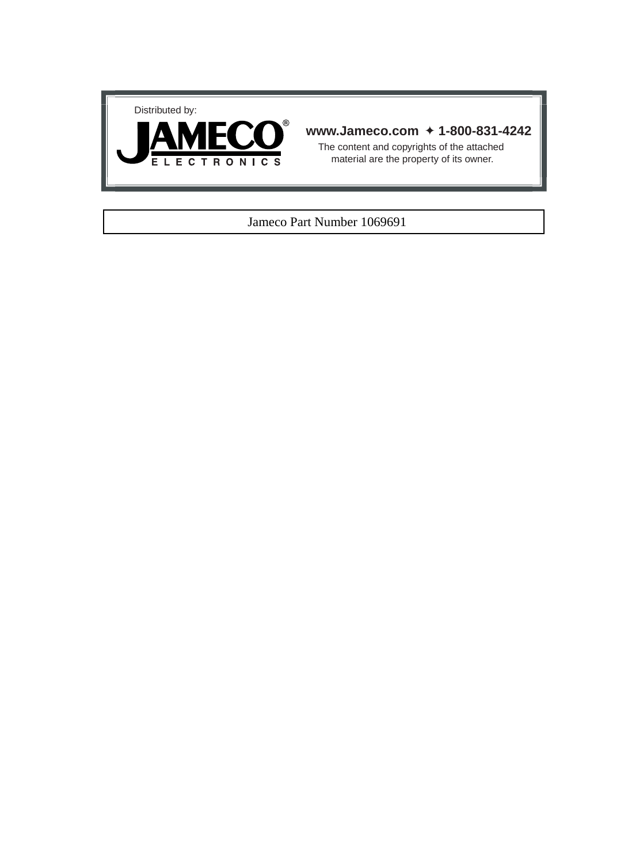



### **www.Jameco.com** ✦ **1-800-831-4242**

The content and copyrights of the attached material are the property of its owner.

#### Jameco Part Number 1069691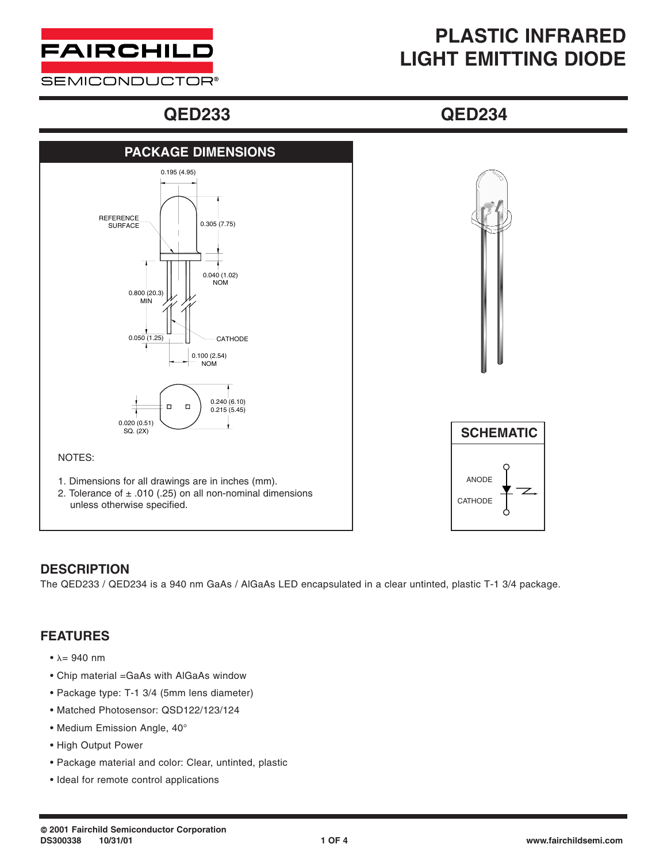

**SEMICONDUCTOR®** 

# **PLASTIC INFRARED LIGHT EMITTING DIODE**

## **QED233 QED234**





### **DESCRIPTION**

The QED233 / QED234 is a 940 nm GaAs / AlGaAs LED encapsulated in a clear untinted, plastic T-1 3/4 package.

### **FEATURES**

- $\lambda = 940$  nm
- Chip material =GaAs with AlGaAs window
- Package type: T-1 3/4 (5mm lens diameter)
- Matched Photosensor: QSD122/123/124
- Medium Emission Angle, 40°
- High Output Power
- Package material and color: Clear, untinted, plastic
- Ideal for remote control applications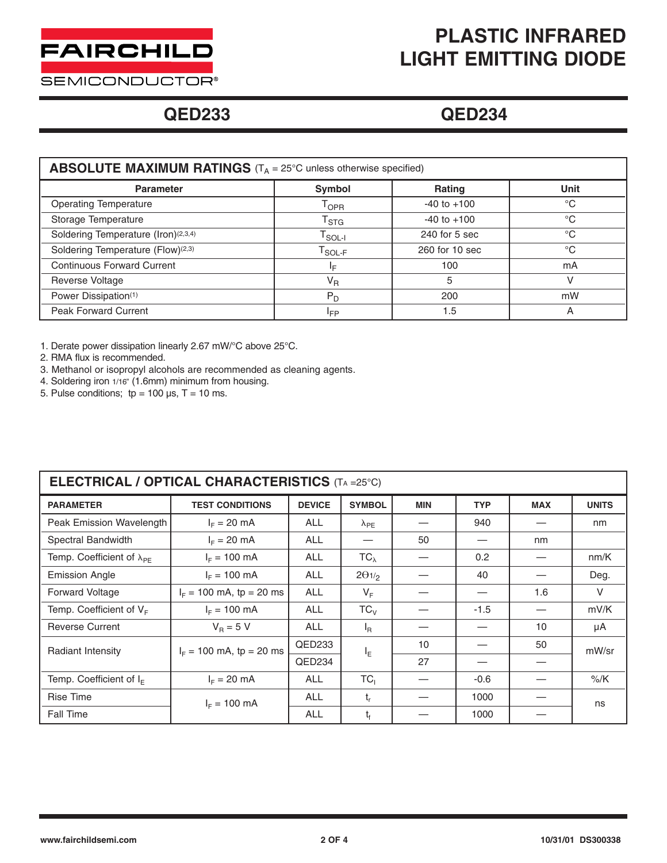

# **PLASTIC INFRARED LIGHT EMITTING DIODE**

**SEMICONDUCTOR®** 

## **QED233 QED234**

| <b>ABSOLUTE MAXIMUM RATINGS</b> ( $T_A = 25^{\circ}$ C unless otherwise specified) |                                               |                 |             |  |  |  |  |  |
|------------------------------------------------------------------------------------|-----------------------------------------------|-----------------|-------------|--|--|--|--|--|
| <b>Parameter</b>                                                                   | Symbol                                        | <b>Rating</b>   | Unit        |  |  |  |  |  |
| <b>Operating Temperature</b>                                                       | $\mathsf{T}_{\mathsf{OPR}}$                   | $-40$ to $+100$ | $^{\circ}C$ |  |  |  |  |  |
| Storage Temperature                                                                | $\mathsf{T}_{\text{STG}}$                     | $-40$ to $+100$ | $^{\circ}C$ |  |  |  |  |  |
| Soldering Temperature (Iron)(2,3,4)                                                | $\mathsf{T}_{\mathsf{SOL-I}}$                 | $240$ for 5 sec | $^{\circ}C$ |  |  |  |  |  |
| Soldering Temperature (Flow)(2,3)                                                  | $\mathsf{T}_{\mathsf{SOL}\text{-}\mathsf{F}}$ | 260 for 10 sec  | $^{\circ}C$ |  |  |  |  |  |
| <b>Continuous Forward Current</b>                                                  | IF.                                           | 100             | mA          |  |  |  |  |  |
| Reverse Voltage                                                                    | $V_R$                                         | 5               | v           |  |  |  |  |  |
| Power Dissipation(1)                                                               | $P_D$                                         | 200             | mW          |  |  |  |  |  |
| <b>Peak Forward Current</b>                                                        | <sup>I</sup> FP                               | 1.5             | A           |  |  |  |  |  |

1. Derate power dissipation linearly 2.67 mW/°C above 25°C.

2. RMA flux is recommended.

3. Methanol or isopropyl alcohols are recommended as cleaning agents.

- 4. Soldering iron 1/16" (1.6mm) minimum from housing.
- 5. Pulse conditions;  $tp = 100 \text{ }\mu\text{s}, T = 10 \text{ ms}.$

| <b>ELECTRICAL / OPTICAL CHARACTERISTICS (TA =25°C)</b> |                            |               |                          |            |            |            |              |  |  |  |
|--------------------------------------------------------|----------------------------|---------------|--------------------------|------------|------------|------------|--------------|--|--|--|
| <b>PARAMETER</b>                                       | <b>TEST CONDITIONS</b>     | <b>DEVICE</b> | <b>SYMBOL</b>            | <b>MIN</b> | <b>TYP</b> | <b>MAX</b> | <b>UNITS</b> |  |  |  |
| Peak Emission Wavelength                               | $I_F = 20$ mA              | <b>ALL</b>    | $\lambda_{PE}$           |            | 940        |            | nm           |  |  |  |
| Spectral Bandwidth                                     | $I_F = 20$ mA              | <b>ALL</b>    |                          | 50         |            | nm         |              |  |  |  |
| Temp. Coefficient of $\lambda_{PE}$                    | $I_{E} = 100$ mA           | <b>ALL</b>    | $TC_{\lambda}$           |            | 0.2        |            | nm/K         |  |  |  |
| <b>Emission Angle</b>                                  | $I_F = 100$ mA             | <b>ALL</b>    | $2\theta$ <sub>1/2</sub> |            | 40         |            | Deg.         |  |  |  |
| Forward Voltage                                        | $I_F = 100$ mA, tp = 20 ms | <b>ALL</b>    | $V_F$                    |            |            | 1.6        | V            |  |  |  |
| Temp. Coefficient of $V_F$                             | $I_F = 100 \text{ mA}$     | <b>ALL</b>    | $TC_{V}$                 |            | $-1.5$     |            | mV/K         |  |  |  |
| <b>Reverse Current</b>                                 | $V_B = 5 V$                | <b>ALL</b>    | $I_{\mathsf{R}}$         |            |            | 10         | μA           |  |  |  |
| Radiant Intensity                                      | $I_F = 100$ mA, tp = 20 ms | QED233        | ΙE                       | 10         |            | 50         | mW/sr        |  |  |  |
|                                                        |                            | QED234        |                          | 27         |            |            |              |  |  |  |
| Temp. Coefficient of $I_F$                             | $I_F = 20$ mA              | <b>ALL</b>    | TC <sub>1</sub>          |            | $-0.6$     |            | $%$ /K       |  |  |  |
| Rise Time                                              | $I_F = 100 \text{ mA}$     | <b>ALL</b>    | $t_{r}$                  |            | 1000       |            | ns           |  |  |  |
| <b>Fall Time</b>                                       |                            | <b>ALL</b>    | t,                       |            | 1000       |            |              |  |  |  |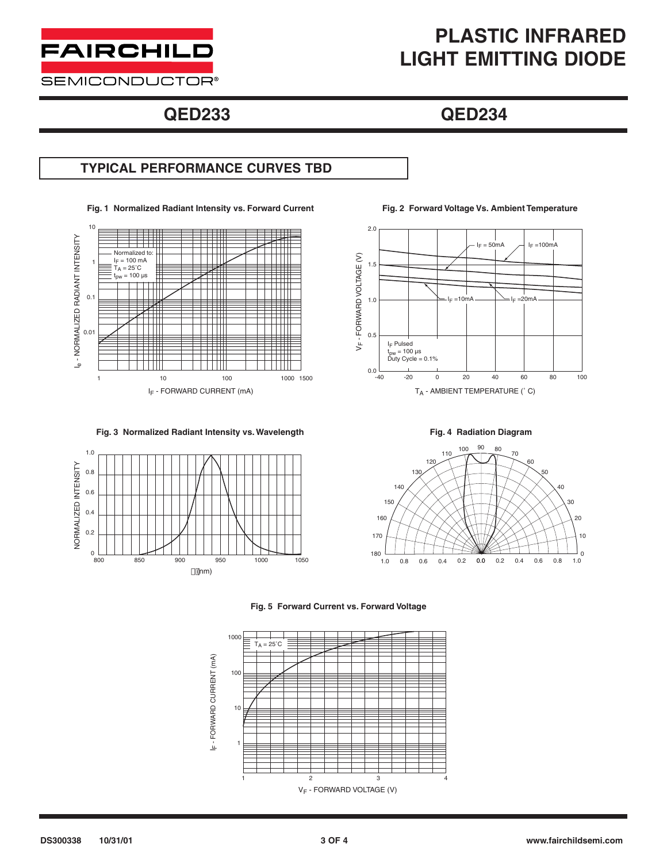

### **SEMICONDUCTOR®**

# **PLASTIC INFRARED LIGHT EMITTING DIODE**

# **QED233 QED234**

## **TYPICAL PERFORMANCE CURVES TBD**

**Fig. 1 Normalized Radiant Intensity vs. Forward Current Fig. 2 Forward Voltage Vs. Ambient Temperature**



**Fig. 3 Normalized Radiant Intensity vs. Wavelength Fig. 4 Radiation Diagram**